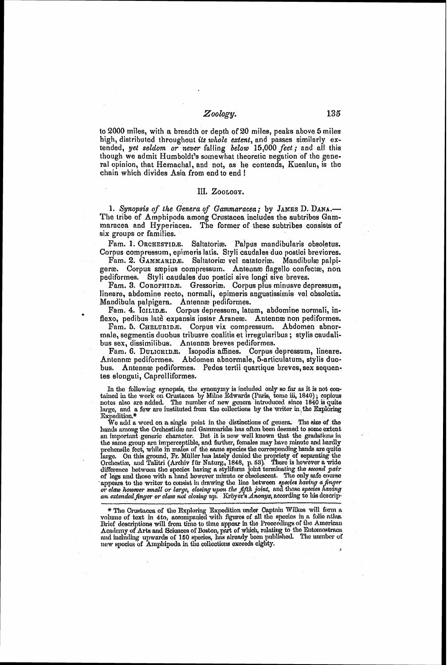# *Zoology.*

to 2000 miles, with a breadth or depth of 20 miles, peaks above 5 miles high, distributed throughout its *tohole* extent, nnd passes similarly extended, **yet** seldom or never fulling *below* 15,000 feet; and all this though we admit Humboldt's somewhat theoretic negation of the general opinion, that Hemachal, and not, as he contends, Ruenlun, is the chain which divides Asia from end to end !

### III. ZOOLOGY.

1. Synopsis of the *Genera of Gammaracea*; by JAMES D. DANA.-The tribe of Amphipoda among Crustacea includes the subtribes Gammaracea and Hyperiacea. The former of these subtribes consists of six groups or families.

Fam. I. ORCHESTIDE. Saltatoriæ. Palpus mandibularis obsoletus. Corpus compressum, epimoris latis. Styli caudales duo postici breviores.

Fam. 2. GAMMARIDE. Saltatoriæ vel natatoriæ. Mandibulæ palpigeræ. Corpus sæpius compressum. Antennæ flagello confectæ, non pediformes. Styli caudales duo postici sive longi sive breves.

Fam. 3. COROPHIDE. Gressoriæ. Corpus plus minusve depressum, lineare, abdomine recto, normali, epimeris angustissimis vel obsolctis.

Mandibuln pal pigern. Antenne pediformes. Corpus depressum, latum, abdomine normali, inflexo, pedibus latè expansis instar Araneæ. Antennæ non pediformes.

Fam. 5. CHELURIDÆ. Corpus vix compressum. Abdomen abnormale, segmentis duobus tribusve coalitis et irreguluribus ; stylis caudalibus sex, dissimilibus. Antennæ breves pediformes.

Fam. 6. DULICHIDE. Isopodis affines. Corpus depressum, lineare. Antenna pediformes. Abdomen abnormale, 5-articulatum, stylis duobus. Antennæ pediformes. Pedes tertii quartique breves, sex sequentes elongati, Caprelliformes.

In the following synopsis, the synonymy is included only so far as it is not contained in the work on Crustacea by Milne Edwards (Paris, tome iii, 1840); copious notes also are added. The number of new genera introduced si large. and a few are iustituted from the collections by the writer in the Exploring Expedition.\*

We add a word on a single point in the distinctions of genera. The size of the hands among the Orchestide and Gammaride has oftcn been deemed to some extent an important generic: character. But it is now well known that the gradations in the same group are imperceptible, and farther, females may have minute and hardly prehensile fect, while in males of the same species the corresponding hands are quite large. On this ground, Fr. Müller has lately denied the propriety of separating the Orchestics, and Talitri (Archiv für Naturg., 1848, p. 53). There is however a wide difference between the species having a styliform joint appears to the writer to consist in drawing the line between species having a finger or claw however small or large, closing upon the fifth joint, and those species having<br>an extended finger or claw not closing up. Kröyer's Anonya, according to his descrip-

\* The Crustacea of the Exploring Expedition under Captain Wilkes will form a volume of text in 4to, accompanied with figures of all the species in a folio ntlas. volume of text in 4to, accompanied with figures of all the species in a folio ntlas.<br>Brief descriptions will from time to time appear in the Proceedings of the American<br>Academy of Arts and Sciences of Boston, part of which n11d inclntiing tqnvnrc1a **ol'** I **KO** II~L~~C'H, ~I~IH nl~~oarly bcc11 p~~l~liul~ud. 1'110 ~rnn~brr **of** new ~1)ccim of Anlpl~ipodo in ille collectio~a exceeds ciglity. **A**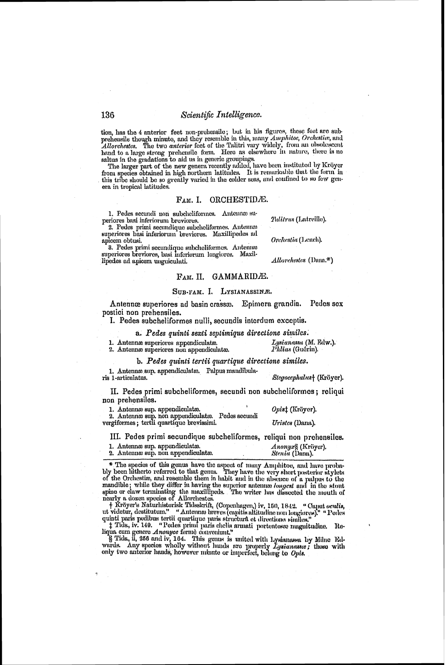tion, has the 4 anterior feet non-prehensile; but in his figures, these feet are sub-<br>prehensile though minute, and they resemble in this, many *Amphitoe, Orchestier*, and<br>*Allorchestes*. The two *anterior* feet of the Ta

The larger part of the new genera recently added, have been instituted by Kröyer from species obtained in high northern latitudes. It is remarkable that the form in this tribe should be so greatly varied in the colder seas, and confined to so few genera in tropical latitudes.

### $F<sub>AM</sub>$ , I. ORCHESTIDÆ.

1. Pedes secundi non subcheliformes. Antenna superiores basi inferiorum breviores.

2. Pedes primi secundique subcheliformes. Antennas superiores basi inferiorum breviores. Maxillipedes ad apicem obtusi.

3. Pedes primi secundique subcheliformes. Antenna superiores breviores, basi inferiorum lengiores. Maxillipedes ad apicem unguiculati.

### FAM. II. GAMMARIDÆ.

### SUB-FAM. I. LYSIANASSINA.

Epimera grandia. Pedes sex Antennæ superiores ad basin crassæ. postici non prehensiles.

I. Pedes subcheliformes nulli, secundis interdum exceptis.

a. Pedes quinti sexti septimique directione similes.

1. Antenna superiores appendiculate.

2. Antennæ superiores non appendiculatæ.

| b. Pedes quinti tertii quartique directione similes. |  |
|------------------------------------------------------|--|
|------------------------------------------------------|--|

1. Antennæ sup. appendiculatæ. Palpus mandibula-Stegocephalust (Kröyer). ris 1-articulatus.

II. Pedes primi subcheliformes, secundi non subcheliformes; reliqui non prehensiles.

1. Antennæ sup. appendiculatæ. Opist (Kröyer). 2. Antenna sup. non appendiculate. Pedes secundi<br>vergiformes; tertii quartique brevissimi. Uristes (Dana).

III. Pedes primi secundique subcheliformes, reliqui non prehensiles.

1. Antennæ sup. appendiculatæ. 2. Antenna sup. non appendiculata.

Anonyx& (Kröyer). Stenia (Dana).

\* The species of this genus have the aspect of many Amphitoe, and have probably been hitherto referred to that genus. They have the very short posterior stylets of the Orchestic, and resemble them in habit and in the absence of a pulpus to the of the Orcnessiae, and resemble them in mode and in the absence of a parpus to the<br>mandible; while they differ in having the superior antenna longest and in the stont<br>spine or claw terminating the maxillipeds. The writer

Finally present part of the property and the second convenient.<br>Iqua cum genere Anonyce fermic convenient."<br>S Tids, ii, 256 and iv, 164. This genus is united with Lysianussa by Milne Edwards. Any species wholly without han only two anterior hands, however minute or imperfect, belong to Opts.

Tulitrus (Latreille).

Orchestia (Lench).

Allorchestes (Dana.\*)

Phlias (Guérin).

Lysianassa (M. Edw.).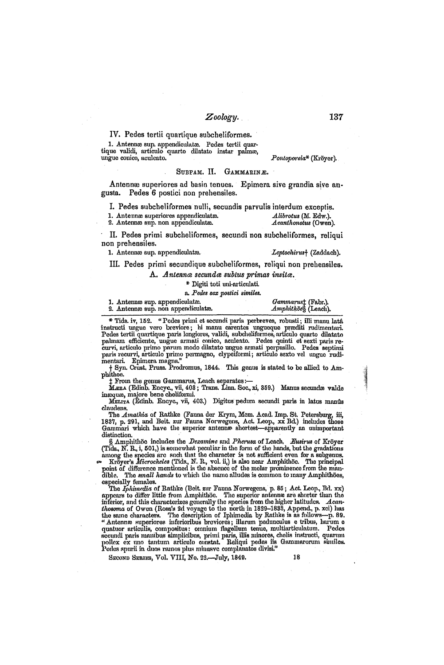### Zoology.

### IV. Pedes tertii qoartique subcheliformes.

1. Antennæ sup. appendiculatæ. Pedes tertii quartique validi, articulo quarto dilatato instar palmæ,<br>ungue conico, aculeato,

### $Pontoporei<sup>*</sup>$  (Kröver).

### SUBFAM. II. GAMMARINÆ.

Antenna: superiores ad basin tenues. Epimera sive grandia sive angusta. Pedes 6 postici non prehensiles.

I. Pedes subcheliformes nulli, secundis parvulis interdum exceptis.<br>1. Antennæ superiores appendiculates.<br>1. Antennæ superiores appendiculates.

1. Antenna superiores appendiculata. *il il altorous (M. Edw.).* 2. Antenna sup. non appendiculata. *il acathonotus (Owen)*.

2. Antenna sup. non appendiculata.

II. Pedes primi subcheliformes, secundi non subcheliformes, reliqui non prehensiles.

1. Antennæ sup. appendiculatæ. *Leptochirus* (Zaddach).

111. Pedes primi secundique subcheliforrnes, reliqui non prehensiles.

A. Antenna secunda subtus primas insita.

\* Digiti toti uni-nrticulnti.

rt. *Pc&s sex postici* similes.

| 1. Antennæ sup. appendiculatæ.     | Gammarust (Fabr.).<br>Amphithöes (Leach). |  |
|------------------------------------|-------------------------------------------|--|
| 2. Antennæ sup. non appendiculatæ. |                                           |  |

\* Tids. iv, 152. "Pedes primi et secundi paris perbreves, robusti; illi manu latâ instructi ungue vero breviore; hi manu carentes ungueque præditi rudimentari.<br>Pedes tertii quartique paris longiores, validi, subcheliformes, articulo quarto dilatato palmam efficiente, ungue armati conico, aculeato. Pedes quinti et sexti paris recurvi, articulo primo parum modo dilatato ungue armati perpusillo. Pedes septimi paris recurvi, articulo primo permagno, clypeiformi; articulo

phithoe. \$ From the gcilus Gnmrnnrus, Lencll separates:-

 $\sharp$  From the genus Gammarus, Leach separates :—<br>Mæn4 (Edinb. Encyc., vii, 403 ; Trans. Linn. Soc., xi, 359.) Manus secundæ valde incoque, majore bene cheliformi.

**MELITA** (Edinb. Encyc., vii, 403.) Digitus pedum secundi paris in latus manûs claudens.

claudens.<br>- The *Amathia* of Rathke (Fauna der Krym, Mcm. Acad. Imp. St. Petersburg, iii,<br>1837, p. 291, and Beit. zur Fauna Norwegens, Act. Leop., xx Bd.) includes those Gammari which have the superior antenna shortest-apparently an unimportant

distinction.<br>§ Amphithöe includes the *Dexaminc a*nd *Plierusa* of Leach. *Eusiriu*s of Kröyer<br>(Tids., N. R., i, 501,) is somewhat peculiar in the form of the hands, but the gradations

criate, it, it, it, it is also near Amplithöe. The principal point of difference mentioned is the species are such that the character is not sufficient even for a subgenus.<br>
Froyer's *Microcheles* (Tids., N. R., vol. ii,) cspecinlly femnlas.

especially temates.<br>The *Iphimedia* of Rathke (Beit. zur Fauna Norwegens, p. 85 ; Act. Leop., Bd. xx)<br>appcars to differ little from Amphithöe. The superior antenne are shorter than the inferior, and this characterizes generally the species from the higher latitudes. *Acanthosoma* of Owen (Ross's 2d voyage to the north in 1829–1833, Append., p. xci) has the same characters. The description of Iphimedia by secundi paris manibus simplicibus, primi paris, illis minores, chelis instructi, quarum<br>pollex ex uno tantum articulo constat. Reliqui pedes iis Gammarorum similes.<br>Pedes spurii in duos ramos plus minusve complan

SECOND SERIES, Vol. VIII, No. 22.—July, 1849. 18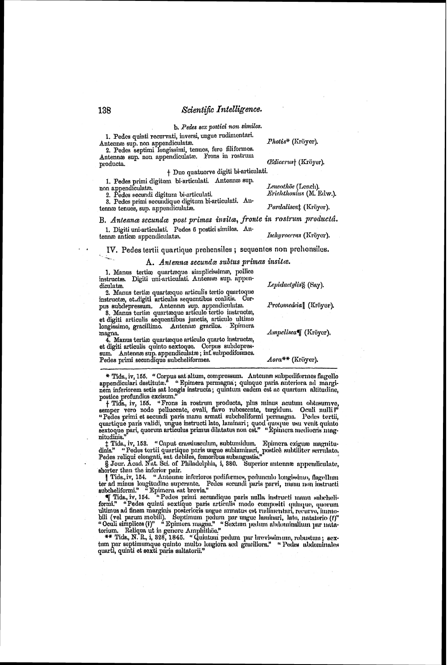**b.** Pedes sex postici non similes.

1. Pedes quinti recurvati, inversi, ungue rudimentari. Antenna sup. non appendiculate. *Photis<sup>\*</sup>* (Kröyer).

2. Pedes septimi longissimi, tenues, fere filiformes. Antenna sup. non appendiculatæ. Frons in rostrum<br>producta.

 $+$  Dno quatuorve digiti bi-articulati.

1. Pedes primi digitum bi-articulati. Antenna sup. non appendiculat*i*e.<br>2. Pedes secundi digitum bi-articulati. *Arichthonius* (M. Edw.).

3. Pedes primi secundique digitum bi-articulati. Antenna tenues, sup. appendiculata. Fermande Pardalisca<sup>†</sup> (Kröyer).

# B. Antennæ secundæ post primas *insitæ*, fronte in rostrum productá.

1. Digiti uni-articulati, Pedes 6 postici similas. Antennæ anticæ appendiculatæ. The *Ischyroceras* (Kröyer).

IV. Pedes tertii quartique prehensiles ; sequentes non prehensiles.

A. Antenna secunda subtus primas insita.

1. Manus tertico quarte que simplicissima, pollice instructa. Digiti uni-articulati. Antenna sup. appen-<br>diculate.

culatae. <sup>2</sup> *Lepidactylis* 8 (Say).<br>2. Manus tertiae quartaeque articulis tertio quartoque instructæ et digiti articulis sequentibus coalitis. Corpus subdepressum. Antenna sup. appendiculatw. Protomedeia<sup>[</sup>] (Kröyer).

8. Manus tertice quartæque articulo tertio instructa, et digiti articulis sequentibus junctis, articulo ultimo longissimo, gracillimo. Antenna gracilca. Epimera<br>magna.

4. Manus tertico quartceque articulo quarto instructo, et digiti articulis quinto sextoque. Corpus subdepressum. Antennæ sup. appendiculatæ; inf. subpediformes. Pedes primi secundique subcheliformes. *Aora*\*\* (Kröyer).

 $Ampelisca$ **[**] (Kröver),

\* Tids., iv, 155. **"** Corpus sat altum, compressum. Antenne subpediformes flagello appendiculari destituta.<sup>8</sup> " Epimera permagna ; quinque paria anteriora ad margi-<br>nem inferiorem setis sat longis instructa ; quintum cadem est ac quartum altitudine, postice profundius excisum.'

+ Tids., iv, 155. "Frons in rostrum producta, plus minus acutum obtusumve, semper vero nodo pellucente, ovali, flavo rubescente, turgidun. Oculi nulli?" "Pedes primi et secundi paris manu armati subcheliformi permagna. Pedes tertii, quartique paris validi, ungue instructi lato, laminari ; quod quoque usu venit quinto<br>sextoque pari, quorum articulus primus dilatatus non cst." "Epimcra mediocris mag**nit~ldinis."** -- - - - - .

‡ Tids., iv, 153. "Caput crassiusculum, subtumidum. Epimera exiguæ magnitu-<br>dinis." "Pedes tertii quartique paris ungue sublaminari, postice subtiliter serrulato.

Pedes reliqui elongati, sat debiles, femoribus subangustis."<br>
§ Jour. Acad. Nut. Sci. of Philadelphia, i, 380. Superior autennœ appendiculate,<br>
shorter than the inferior pair.<br>
Tids., iv, 154. "Antennæ inferiores pediforme

ultimus ad finem marginis posterioris ungue armatus est rudimentari, recurvo, immo-<br>bili (vel parum mobili). Septimum pedum par ungue laminari, lato, natatorio (1)''<br>" Oculi simplices (1)" " Epimera magna."

torium, Reliqua ut in genore Amphithöe."<br>\*\* Tids, N. R., i, 328, 1845. Guintum pedum pur brevirsimum, robustum ; sextum par septimumque quinto multo longiora sed graciliora." "Pedes alulominales<br>quarti, quinti et sexti paris saltatorii.''

prodacta. **fZ'dico~ua,[** (IGtiyer).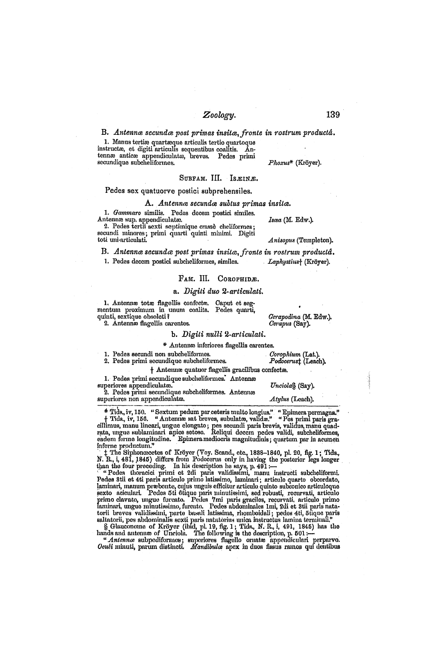# *Zoology* . **13** <sup>9</sup>

### B. *Antennce seclindre* post *primas insita, fronte in rostrum product&.*

1. Manus tertice quarte que articulis tertio quartoque<br>instructes, et digiti articulis sequentibus coalitis. Antennæ anticæ appendiculatæ, breves. Pedes primi **Phoxus\*** (Kröver).<br>*Phoxus\** (Kröver).

SUBFAM. III. ISEINE.

### Pedes sex quatuorve postici subprehensiles.

# *A. Antennn: secunde sultus primas iasila.*

Pedes decem postici similes. Antennæ sup, appendiculate. **Ismay** *Isea* (M. Edw.).

2. Pedes tertii sexti septimique crasse cheliformes; vecundi minores; primi quarti quinti minimi. Digiti *Anisopus* (Templeton).<br>toti uni-articulati. *Anisopus* (Templeton).

### B. Antenna secunda post primas insita, fronte in rostrum productâ. 1. Pedes decem postici subcheliformes, similes. *Laphystius*† (Kröyer).

### FAM. III. COROPHIDE.

### a. Digili duo 2-articulati.

**1.** Antennæ totæ flagellis confectre. Caput et segmentum proximum in unum conlita. Pedes quarti, *Cerapodina* (M. **Edw.).** *Cerapodina* (M. **Edw.**).

2. Antennm flagellis carentes. *Cerapus* (Say).

### *b. Digili nulli 2-nrbiculali.*

\* Antennæ inferiores flagellis carentes.

1. Pedes secundi non subcheliforn~es. *Corophium* (Lnt.). **2.** Pedes primi sccuridiquc su~bclielifonncs. *Podoce?usS* (Leach).

### $\dagger$  Antennæ quatuor flagellis gracilibus confectæ.

1. Pedes primi secundique subcheliformes. Antennæ euperiores appendiculatae.<sup>\*</sup> Unciolas *Unciola*S (Say).

2. Pedes primi secundique subcheliformes. Antennæ superiorcs non appendiculate. *Atylus* (Leach).

\* Tids, iv, 150. "Sextum pedum par ceteris multo longius." "Epimera permagna." † Tids, iv, 156. "Antennæ sat breves, subulates, valida." "Pes primi paris gradilimus, manu lineari, ungue elongato; pes secundi paris brevis,

t The Siphoncecetes of Kröyer (Voy. Scand., etc., 1838–1840, pl. 20, fig. 1; Tids., 1. 1945) differs from Podocerus only in having the posterior legs longer<br>N. R., i, 481, 1845) differs from Podocerus only in having the po

Tredes thoracid primi et zur paris validissimi, manu instructi subchelinomi, Pedes 8tii et 4ti paris articulo primo latissimo, laminari; articulo quarto obcordato, laminari, manum praebente, cujus unguis efficitur articulo tammari, ungue minuussimo, furcato. - 1°edes abdominates 1mi, 201 et 3til paris nata-<br>torii breves - validissimi, parte basali latissima, rhomboidali; pedes 4ti, õtique paris<br>saltatorii, pes abdominalis sexti paris mutator

finatorii, pes andominalis sexti paris initatorius unica instructus lamma terminali.<br>
§ Glauconomo of Kröyer (ibid, pl. 19, fig. 1; Tids., N. R., i, 491, 1845) has the<br>hands and antenno of Unciola. The following is the des

*u..4ntcnn.* aubpciliforil~u; sulxviums B~.ollo onlntre np>pcll\iculori prrpnlw *Oczcli* ~nh~uli, pnriun dietillcti. *Afandi1ztlu~* npex in duo^ fis~uv rnlnos qut tlc~~tilrus